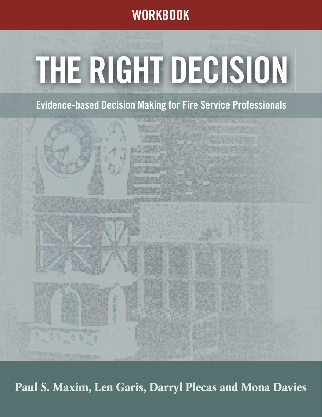**WORKBOOK**

# **THE RIGHT DECISION**

**Evidence-based Decision Making for Fire Service Professionals**

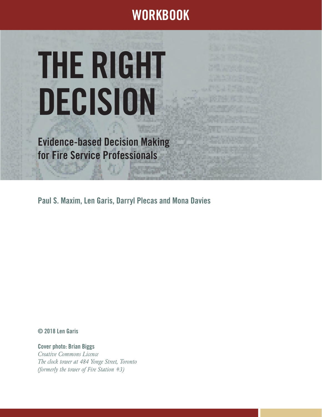# **WORKBOOK**

# **THE RIGHT DECISION**

**Evidence-based Decision Making for Fire Service Professionals**

**Paul S. Maxim, Len Garis, Darryl Plecas and Mona Davies**

**© 2018 Len Garis**

**Cover photo: Brian Biggs** *Creative Commons Licence The clock tower at 484 Yonge Street, Toronto (formerly the tower of Fire Station #3)*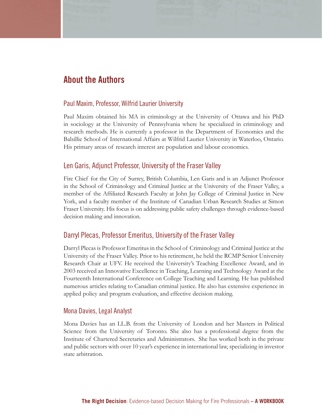### **About the Authors**

#### Paul Maxim, Professor, Wilfrid Laurier University

Paul Maxim obtained his MA in criminology at the University of Ottawa and his PhD in sociology at the University of Pennsylvania where he specialized in criminology and research methods. He is currently a professor in the Department of Economics and the Balsillie School of International Affairs at Wilfrid Laurier University in Waterloo, Ontario. His primary areas of research interest are population and labour economics.

#### Len Garis, Adjunct Professor, University of the Fraser Valley

Fire Chief for the City of Surrey, British Columbia, Len Garis and is an Adjunct Professor in the School of Criminology and Criminal Justice at the University of the Fraser Valley, a member of the Affiliated Research Faculty at John Jay College of Criminal Justice in New York, and a faculty member of the Institute of Canadian Urban Research Studies at Simon Fraser University. His focus is on addressing public safety challenges through evidence-based decision making and innovation.

#### Darryl Plecas, Professor Emeritus, University of the Fraser Valley

Darryl Plecas is Professor Emeritus in the School of Criminology and Criminal Justice at the University of the Fraser Valley. Prior to his retirement, he held the RCMP Senior University Research Chair at UFV. He received the University's Teaching Excellence Award, and in 2003 received an Innovative Excellence in Teaching, Learning and Technology Award at the Fourteenth International Conference on College Teaching and Learning. He has published numerous articles relating to Canadian criminal justice. He also has extensive experience in applied policy and program evaluation, and effective decision making.

#### Mona Davies, Legal Analyst

Mona Davies has an LL.B. from the University of London and her Masters in Political Science from the University of Toronto. She also has a professional degree from the Institute of Chartered Secretaries and Administrators. She has worked both in the private and public sectors with over 10 year's experience in international law, specializing in investor state arbitration.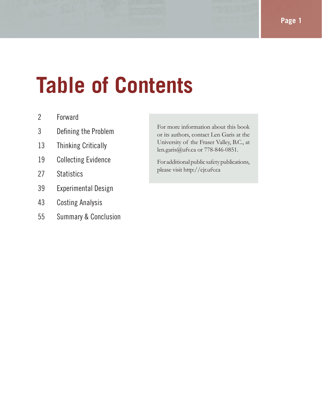# **Table of Contents**

- 2 Forward
- 3 Defining the Problem
- 13 Thinking Critically
- 19 Collecting Evidence
- 27 Statistics
- 39 Experimental Design
- 43 Costing Analysis
- 55 Summary & Conclusion

For more information about this book or its authors, contact Len Garis at the University of the Fraser Valley, B.C., at len.garis@ufv.ca or 778-846-0851.

For additional public safety publications, please visit http://cjr.ufv.ca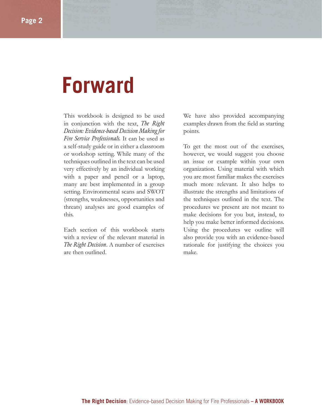# **Forward**

This workbook is designed to be used in conjunction with the text, *The Right Decision: Evidence-based Decision Making for Fire Service Professionals.* It can be used as a self-study guide or in either a classroom or workshop setting. While many of the techniques outlined in the text can be used very effectively by an individual working with a paper and pencil or a laptop, many are best implemented in a group setting. Environmental scans and SWOT (strengths, weaknesses, opportunities and threats) analyses are good examples of this.

Each section of this workbook starts with a review of the relevant material in *The Right Decision*. A number of exercises are then outlined.

We have also provided accompanying examples drawn from the field as starting points.

To get the most out of the exercises, however, we would suggest you choose an issue or example within your own organization. Using material with which you are most familiar makes the exercises much more relevant. It also helps to illustrate the strengths and limitations of the techniques outlined in the text. The procedures we present are not meant to make decisions for you but, instead, to help you make better informed decisions. Using the procedures we outline will also provide you with an evidence-based rationale for justifying the choices you make.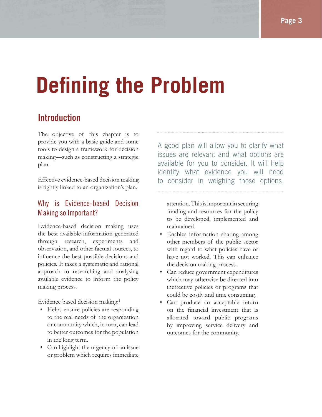# **Defining the Problem**

# **Introduction**

The objective of this chapter is to provide you with a basic guide and some tools to design a framework for decision making—such as constructing a strategic plan.

Effective evidence-based decision making is tightly linked to an organization's plan.

### Why is Evidence-based Decision Making so Important?

Evidence-based decision making uses the best available information generated through research, experiments and observation, and other factual sources, to influence the best possible decisions and policies. It takes a systematic and rational approach to researching and analysing available evidence to inform the policy making process.

Evidence based decision making:<sup>1</sup>

- Helps ensure policies are responding to the real needs of the organization or community which, in turn, can lead to better outcomes for the population in the long term.
- Can highlight the urgency of an issue or problem which requires immediate

A good plan will allow you to clarify what issues are relevant and what options are available for you to consider. It will help identify what evidence you will need to consider in weighing those options.

attention. This is important in securing funding and resources for the policy to be developed, implemented and maintained.

- Enables information sharing among other members of the public sector with regard to what policies have or have not worked. This can enhance the decision making process.
- Can reduce government expenditures which may otherwise be directed into ineffective policies or programs that could be costly and time consuming.
- Can produce an acceptable return on the financial investment that is allocated toward public programs by improving service delivery and outcomes for the community.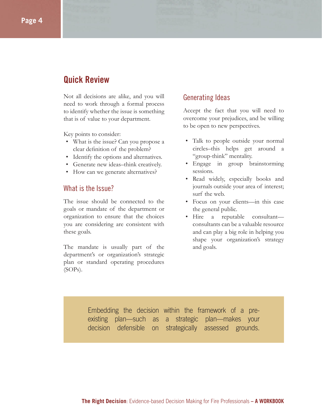# **Quick Review**

Not all decisions are alike, and you will need to work through a formal process to identify whether the issue is something that is of value to your department.

Key points to consider:

- What is the issue? Can you propose a clear definition of the problem?
- Identify the options and alternatives.
- Generate new ideas–think creatively.
- How can we generate alternatives?

#### What is the Issue?

The issue should be connected to the goals or mandate of the department or organization to ensure that the choices you are considering are consistent with these goals.

The mandate is usually part of the department's or organization's strategic plan or standard operating procedures (SOPs).

#### Generating Ideas

Accept the fact that you will need to overcome your prejudices, and be willing to be open to new perspectives.

- Talk to people outside your normal circles–this helps get around a "group-think" mentality.
- Engage in group brainstorming sessions.
- Read widely, especially books and journals outside your area of interest; surf the web.
- Focus on your clients—in this case the general public.
- Hire a reputable consultant consultants can be a valuable resource and can play a big role in helping you shape your organization's strategy and goals.

Embedding the decision within the framework of a preexisting plan—such as a strategic plan—makes your decision defensible on strategically assessed grounds.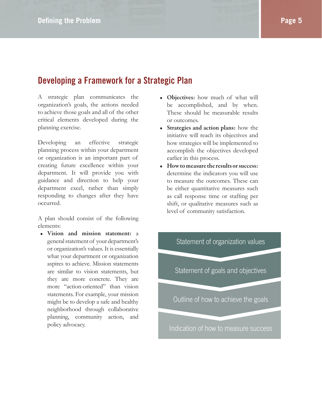# **Developing a Framework for a Strategic Plan**

A strategic plan communicates the organization's goals, the actions needed to achieve those goals and all of the other critical elements developed during the planning exercise.

Developing an effective strategic planning process within your department or organization is an important part of creating future excellence within your department. It will provide you with guidance and direction to help your department excel, rather than simply responding to changes after they have occurred.

A plan should consist of the following elements:

**• Vision and mission statement:** a general statement of your department's or organization's values. It is essentially what your department or organization aspires to achieve. Mission statements are similar to vision statements, but they are more concrete. They are more "action-oriented" than vision statements. For example, your mission might be to develop a safe and healthy neighborhood through collaborative planning, community action, and policy advocacy.

- **Objectives:** how much of what will be accomplished, and by when. These should be measurable results or outcomes.
- **Strategies and action plans:** how the initiative will reach its objectives and how strategies will be implemented to accomplish the objectives developed earlier in this process.
- **How to measure the results or success:**  determine the indicators you will use to measure the outcomes. These can be either quantitative measures such as call response time or staffing per shift, or qualitative measures such as level of community satisfaction.

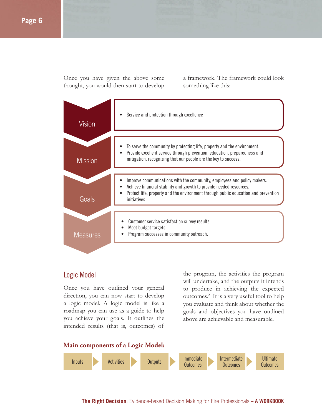Once you have given the above some thought, you would then start to develop

a framework. The framework could look something like this:

| Vision          | Service and protection through excellence                                                                                                                                                                                                            |
|-----------------|------------------------------------------------------------------------------------------------------------------------------------------------------------------------------------------------------------------------------------------------------|
| <b>Mission</b>  | To serve the community by protecting life, property and the environment.<br>Provide excellent service through prevention, education, preparedness and<br>mitigation; recognizing that our people are the key to success.                             |
| Goals           | Improve communications with the community, employees and policy makers.<br>Achieve financial stability and growth to provide needed resources.<br>Protect life, property and the environment through public education and prevention<br>initiatives. |
| <b>Measures</b> | Customer service satisfaction survey results.<br>Meet budget targets.<br>Program successes in community outreach.                                                                                                                                    |

#### Logic Model

Once you have outlined your general direction, you can now start to develop a logic model. A logic model is like a roadmap you can use as a guide to help you achieve your goals. It outlines the intended results (that is, outcomes) of

the program, the activities the program will undertake, and the outputs it intends to produce in achieving the expected outcomes.2 It is a very useful tool to help you evaluate and think about whether the goals and objectives you have outlined above are achievable and measurable.

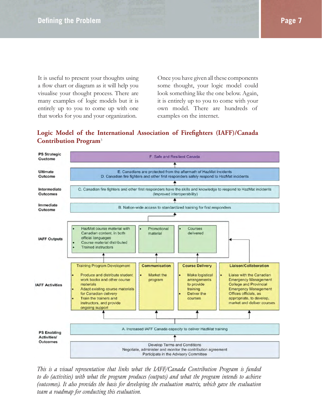It is useful to present your thoughts using a flow chart or diagram as it will help you visualise your thought process. There are many examples of logic models but it is entirely up to you to come up with one that works for you and your organization.

Once you have given all these components some thought, your logic model could look something like the one below. Again, it is entirely up to you to come with your own model. There are hundreds of examples on the internet.

#### Logic Model of the International Association of Firefighters (IAFF)/Canada **Contribution Program**<sup>3</sup>



*This is a visual representation that links what the IAFF/Canada Contribution Program is funded to do (activities) with what the program produces (outputs) and what the program intends to achieve (outcomes). It also provides the basis for developing the evaluation matrix, which gave the evaluation team a roadmap for conducting this evaluation.*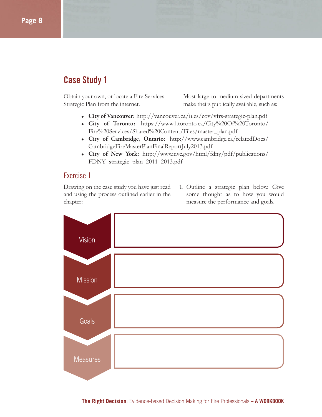# **Case Study 1**

Obtain your own, or locate a Fire Services Strategic Plan from the internet.

Most large to medium-sized departments make theirs publically available, such as:

- City of Vancouver: http://vancouver.ca/files/cov/vfrs-strategic-plan.pdf
- **City of Toronto:** https://www1.toronto.ca/City%20Of%20Toronto/ Fire%20Services/Shared%20Content/Files/master\_plan.pdf
- **City of Cambridge, Ontario:** http://www.cambridge.ca/relatedDocs/ CambridgeFireMasterPlanFinalReportJuly2013.pdf
- **City of New York:** http://www.nyc.gov/html/fdny/pdf/publications/ FDNY\_strategic\_plan\_2011\_2013.pdf

#### Exercise 1

Drawing on the case study you have just read and using the process outlined earlier in the chapter:

1. Outline a strategic plan below. Give some thought as to how you would measure the performance and goals.

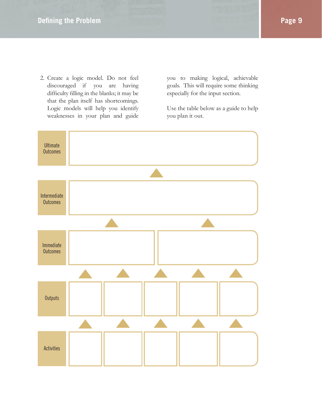2. Create a logic model. Do not feel discouraged if you are having difficulty filling in the blanks; it may be that the plan itself has shortcomings. Logic models will help you identify weaknesses in your plan and guide

you to making logical, achievable goals. This will require some thinking especially for the input section.

Use the table below as a guide to help you plan it out.

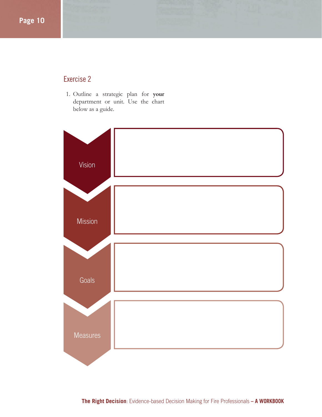#### Exercise 2

1. Outline a strategic plan for **your** department or unit. Use the chart below as a guide.

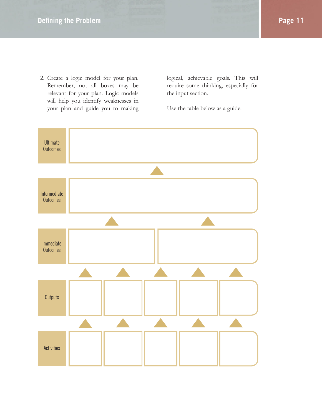2. Create a logic model for your plan. Remember, not all boxes may be relevant for your plan. Logic models will help you identify weaknesses in your plan and guide you to making logical, achievable goals. This will require some thinking, especially for the input section.

Use the table below as a guide.

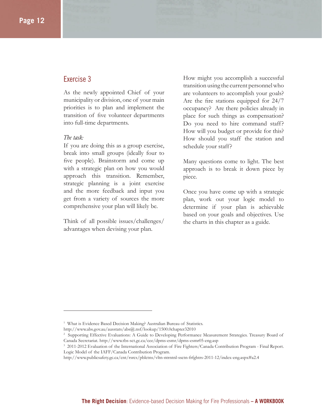#### Exercise 3

As the newly appointed Chief of your municipality or division, one of your main priorities is to plan and implement the transition of five volunteer departments into full-time departments.

#### *The task:*

If you are doing this as a group exercise, break into small groups (ideally four to five people). Brainstorm and come up with a strategic plan on how you would approach this transition. Remember, strategic planning is a joint exercise and the more feedback and input you get from a variety of sources the more comprehensive your plan will likely be.

Think of all possible issues/challenges/ advantages when devising your plan.

How might you accomplish a successful transition using the current personnel who are volunteers to accomplish your goals? Are the fire stations equipped for  $24/7$ occupancy? Are there policies already in place for such things as compensation? Do you need to hire command staff? How will you budget or provide for this? How should you staff the station and schedule your staff?

Many questions come to light. The best approach is to break it down piece by piece.

Once you have come up with a strategic plan, work out your logic model to determine if your plan is achievable based on your goals and objectives. Use the charts in this chapter as a guide.

http://www.abs.gov.au/ausstats/abs@.nsf/lookup/1500.0chapter32010

<sup>&</sup>lt;sup>1</sup> What is Evidence Based Decision Making? Australian Bureau of Statistics.

<sup>2</sup> Supporting Effective Evaluations: A Guide to Developing Performance Measurement Strategies. Treasury Board of Canada Secretariat. http://www.tbs-sct.gc.ca/cee/dpms-esmr/dpms-esmr05-eng.asp

<sup>&</sup>lt;sup>3</sup> 2011-2012 Evaluation of the International Association of Fire Fighters/Canada Contribution Program - Final Report. Logic Model of the IAFF/Canada Contribution Program.

http://www.publicsafety.gc.ca/cnt/rsrcs/pblctns/vltn-ntrntnl-ssctn-frfghtrs-2011-12/index-eng.aspx#a2.4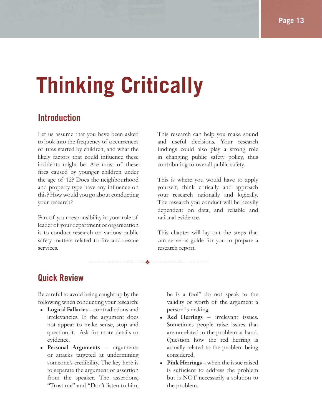# **Thinking Critically**

❖

# **Introduction**

Let us assume that you have been asked to look into the frequency of occurrences of fires started by children, and what the likely factors that could influence these incidents might be. Are most of these fires caused by younger children under the age of 12? Does the neighbourhood and property type have any influence on this? How would you go about conducting your research?

Part of your responsibility in your role of leader of your department or organization is to conduct research on various public safety matters related to fire and rescue services.

This research can help you make sound and useful decisions. Your research findings could also play a strong role in changing public safety policy, thus contributing to overall public safety.

This is where you would have to apply yourself, think critically and approach your research rationally and logically. The research you conduct will be heavily dependent on data, and reliable and rational evidence.

This chapter will lay out the steps that can serve as guide for you to prepare a research report.

# **Quick Review**

Be careful to avoid being caught up by the following when conducting your research:

- **Logical Fallacies** contradictions and irrelevancies. If the argument does not appear to make sense, stop and question it. Ask for more details or evidence.
- **Personal Arguments** arguments or attacks targeted at undermining someone's credibility. The key here is to separate the argument or assertion from the speaker. The assertions, "Trust me" and "Don't listen to him,

he is a fool" do not speak to the validity or worth of the argument a person is making.

- **Red Herrings** irrelevant issues. Sometimes people raise issues that are unrelated to the problem at hand. Question how the red herring is actually related to the problem being considered.
- **Pink Herrings**  when the issue raised is sufficient to address the problem but is NOT necessarily a solution to the problem.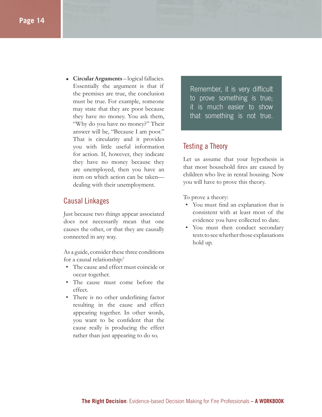**• Circular Arguments** – logical fallacies. Essentially the argument is that if the premises are true, the conclusion must be true. For example, someone may state that they are poor because they have no money. You ask them, "Why do you have no money?" Their answer will be, "Because I am poor." That is circularity and it provides you with little useful information for action. If, however, they indicate they have no money because they are unemployed, then you have an item on which action can be taken dealing with their unemployment.

#### Causal Linkages

Just because two things appear associated does not necessarily mean that one causes the other, or that they are causally connected in any way.

As a guide, consider these three conditions for a causal relationship:<sup>1</sup>

- The cause and effect must coincide or occur together.
- The cause must come before the effect.
- There is no other underlining factor resulting in the cause and effect appearing together. In other words, you want to be confident that the cause really is producing the effect rather than just appearing to do so.

Remember, it is very difficult to prove something is true; it is much easier to show that something is not true.

#### Testing a Theory

Let us assume that your hypothesis is that most household fires are caused by children who live in rental housing. Now you will have to prove this theory.

To prove a theory:

- You must find an explanation that is consistent with at least most of the evidence you have collected to date.
- You must then conduct secondary tests to see whether those explanations hold up.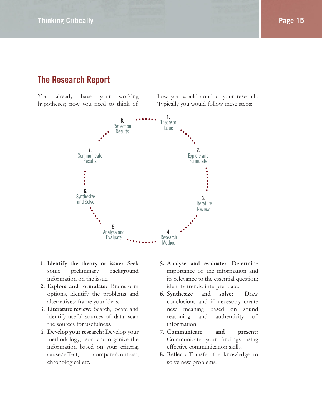# **The Research Report**

You already have your working hypotheses; now you need to think of how you would conduct your research. Typically you would follow these steps:



- **1. Identify the theory or issue:** Seek some preliminary background information on the issue.
- **2. Explore and formulate:** Brainstorm options, identify the problems and alternatives; frame your ideas.
- **3. Literature review:** Search, locate and identify useful sources of data; scan the sources for usefulness.
- **4. Develop your research:** Develop your methodology; sort and organize the information based on your criteria; cause/effect, compare/contrast, chronological etc.
- **5. Analyse and evaluate:** Determine importance of the information and its relevance to the essential question; identify trends, interpret data.
- **6. Synthesize and solve:** Draw conclusions and if necessary create new meaning based on sound reasoning and authenticity of information.
- **7. Communicate and present:** Communicate your findings using effective communication skills.
- **8. Reflect:** Transfer the knowledge to solve new problems.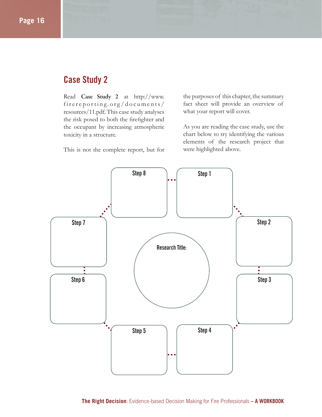# **Case Study 2**

Read **Case Study 2** at http://www. firereporting.org/documents/ resources/11.pdf. This case study analyses the risk posed to both the firefighter and the occupant by increasing atmospheric toxicity in a structure.

This is not the complete report, but for

the purposes of this chapter, the summary fact sheet will provide an overview of what your report will cover.

As you are reading the case study, use the chart below to try identifying the various elements of the research project that were highlighted above.

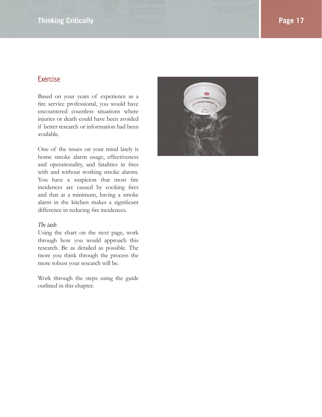#### **Thinking Critically Page 17**

#### Exercise

Based on your years of experience as a fire service professional, you would have encountered countless situations where injuries or death could have been avoided if better research or information had been available.

One of the issues on your mind lately is home smoke alarm usage, effectiveness and operationality, and fatalities in fires with and without working smoke alarms. You have a suspicion that most fire incidences are caused by cooking fires and that at a minimum, having a smoke alarm in the kitchen makes a significant difference in reducing fire incidences.

#### *The task:*

Using the chart on the next page, work through how you would approach this research. Be as detailed as possible. The more you think through the process the more robust your research will be.

Work through the steps using the guide outlined in this chapter.

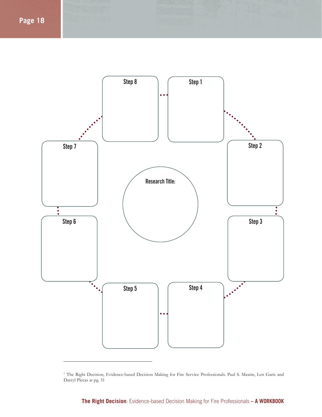

<sup>&</sup>lt;sup>1</sup> The Right Decision, Evidence-based Decision Making for Fire Service Professionals. Paul S. Maxim, Len Garis and Darryl Plecas at pg. 31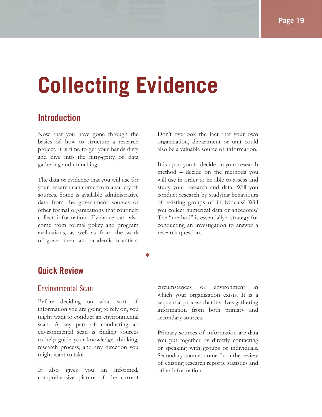# **Collecting Evidence**

❖

## **Introduction**

Now that you have gone through the basics of how to structure a research project, it is time to get your hands dirty and dive into the nitty-gritty of data gathering and crunching.

The data or evidence that you will use for your research can come from a variety of sources. Some is available administrative data from the government sources or other formal organizations that routinely collect information. Evidence can also come from formal policy and program evaluations, as well as from the work of government and academic scientists.

Don't overlook the fact that your own organization, department or unit could also be a valuable source of information.

It is up to you to decide on your research method – decide on the methods you will use in order to be able to assess and study your research and data. Will you conduct research by studying behaviours of existing groups of individuals? Will you collect numerical data or anecdotes? The "method" is essentially a strategy for conducting an investigation to answer a research question.

# **Quick Review**

#### Environmental Scan

Before deciding on what sort of information you are going to rely on, you might want to conduct an environmental scan. A key part of conducting an environmental scan is finding sources to help guide your knowledge, thinking, research process, and any direction you might want to take.

It also gives you an informed, comprehensive picture of the current circumstances or environment in which your organization exists. It is a sequential process that involves gathering information from both primary and secondary sources.

Primary sources of information are data you put together by directly contacting or speaking with groups or individuals. Secondary sources come from the review of existing research reports, statistics and other information.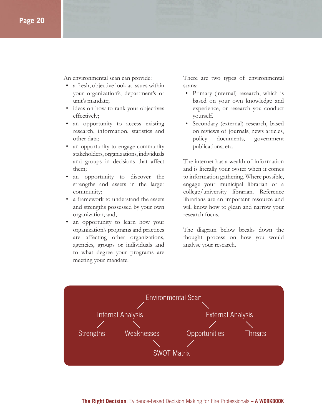An environmental scan can provide:

- a fresh, objective look at issues within your organization's, department's or unit's mandate;
- ideas on how to rank your objectives effectively;
- an opportunity to access existing research, information, statistics and other data;
- an opportunity to engage community stakeholders, organizations, individuals and groups in decisions that affect them;
- an opportunity to discover the strengths and assets in the larger community;
- a framework to understand the assets and strengths possessed by your own organization; and,
- an opportunity to learn how your organization's programs and practices are affecting other organizations, agencies, groups or individuals and to what degree your programs are meeting your mandate.

There are two types of environmental scans:

- Primary (internal) research, which is based on your own knowledge and experience, or research you conduct yourself.
- Secondary (external) research, based on reviews of journals, news articles, policy documents, government publications, etc.

The internet has a wealth of information and is literally your oyster when it comes to information gathering. Where possible, engage your municipal librarian or a college/university librarian. Reference librarians are an important resource and will know how to glean and narrow your research focus.

The diagram below breaks down the thought process on how you would analyse your research.

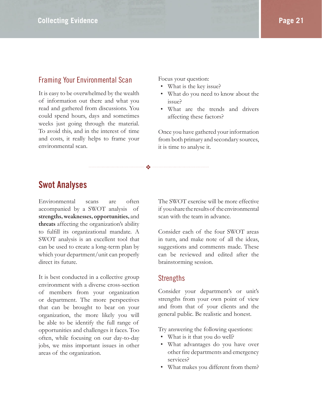#### Framing Your Environmental Scan

It is easy to be overwhelmed by the wealth of information out there and what you read and gathered from discussions. You could spend hours, days and sometimes weeks just going through the material. To avoid this, and in the interest of time and costs, it really helps to frame your environmental scan.

Focus your question:

- What is the key issue?
- What do you need to know about the issue?
- What are the trends and drivers affecting these factors?

Once you have gathered your information from both primary and secondary sources, it is time to analyse it.

### **Swot Analyses**

Environmental scans are often accompanied by a SWOT analysis of **strengths, weaknesses, opportunities,** and **threats** affecting the organization's ability to fulfill its organizational mandate. A SWOT analysis is an excellent tool that can be used to create a long-term plan by which your department/unit can properly direct its future.

It is best conducted in a collective group environment with a diverse cross-section of members from your organization or department. The more perspectives that can be brought to bear on your organization, the more likely you will be able to be identify the full range of opportunities and challenges it faces. Too often, while focusing on our day-to-day jobs, we miss important issues in other areas of the organization.

The SWOT exercise will be more effective if you share the results of the environmental scan with the team in advance.

Consider each of the four SWOT areas in turn, and make note of all the ideas, suggestions and comments made. These can be reviewed and edited after the brainstorming session.

#### Strengths

❖

Consider your department's or unit's strengths from your own point of view and from that of your clients and the general public. Be realistic and honest.

Try answering the following questions:

- What is it that you do well?
- What advantages do you have over other fire departments and emergency services?
- What makes you different from them?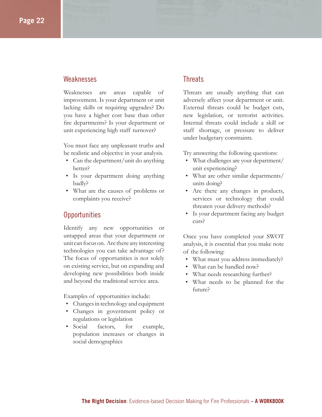#### Weaknesses

Weaknesses are areas capable of improvement. Is your department or unit lacking skills or requiring upgrades? Do you have a higher cost base than other fire departments? Is your department or unit experiencing high staff turnover?

You must face any unpleasant truths and be realistic and objective in your analysis.

- Can the department/unit do anything better?
- Is your department doing anything badly?
- What are the causes of problems or complaints you receive?

#### **Opportunities**

Identify any new opportunities or untapped areas that your department or unit can focus on. Are there any interesting technologies you can take advantage of? The focus of opportunities is not solely on existing service, but on expanding and developing new possibilities both inside and beyond the traditional service area.

Examples of opportunities include:

- Changes in technology and equipment
- Changes in government policy or regulations or legislation
- Social factors, for example, population increases or changes in social demographics

#### **Threats**

Threats are usually anything that can adversely affect your department or unit. External threats could be budget cuts, new legislation, or terrorist activities. Internal threats could include a skill or staff shortage, or pressure to deliver under budgetary constraints.

Try answering the following questions:

- What challenges are your department/ unit experiencing?
- What are other similar departments/ units doing?
- Are there any changes in products, services or technology that could threaten your delivery methods?
- Is your department facing any budget cuts?

Once you have completed your SWOT analysis, it is essential that you make note of the following:

- What must you address immediately?
- What can be handled now?
- What needs researching further?
- What needs to be planned for the future?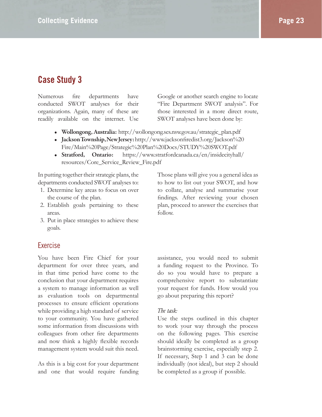# **Case Study 3**

Numerous fire departments have conducted SWOT analyses for their organizations. Again, many of these are readily available on the internet. Use

Google or another search engine to locate "Fire Department SWOT analysis". For those interested in a more direct route, SWOT analyses have been done by:

- **Wollongong, Australia:** http://wollongong.ses.nsw.gov.au/strategic\_plan.pdf
- Jackson Township, New Jersey: http://www.jacksonfiredist3.org/Jackson%20 Fire/Main%20Page/Strategic%20Plan%20Docs/STUDY%20SWOT.pdf
- **Stratford, Ontario:** https://www.stratfordcanada.ca/en/insidecityhall/ resources/Core\_Service\_Review\_Fire.pdf

In putting together their strategic plans, the departments conducted SWOT analyses to:

- 1. Determine key areas to focus on over the course of the plan.
- 2. Establish goals pertaining to these areas.
- 3. Put in place strategies to achieve these goals.

#### Exercise

You have been Fire Chief for your department for over three years, and in that time period have come to the conclusion that your department requires a system to manage information as well as evaluation tools on departmental processes to ensure efficient operations while providing a high standard of service to your community. You have gathered some information from discussions with colleagues from other fire departments and now think a highly flexible records management system would suit this need.

As this is a big cost for your department and one that would require funding Those plans will give you a general idea as to how to list out your SWOT, and how to collate, analyse and summarise your findings. After reviewing your chosen plan, proceed to answer the exercises that follow.

assistance, you would need to submit a funding request to the Province. To do so you would have to prepare a comprehensive report to substantiate your request for funds. How would you go about preparing this report?

#### *The task:*

Use the steps outlined in this chapter to work your way through the process on the following pages. This exercise should ideally be completed as a group brainstorming exercise, especially step 2. If necessary, Step 1 and 3 can be done individually (not ideal), but step 2 should be completed as a group if possible.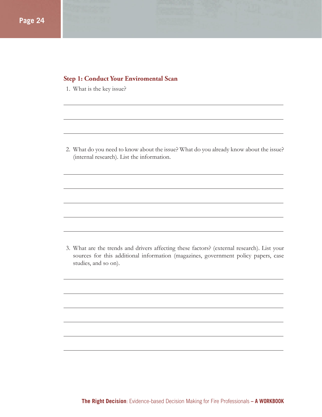#### **Step 1: Conduct Your Enviromental Scan**

1. What is the key issue?

2. What do you need to know about the issue? What do you already know about the issue? (internal research). List the information.

3. What are the trends and drivers affecting these factors? (external research). List your sources for this additional information (magazines, government policy papers, case studies, and so on).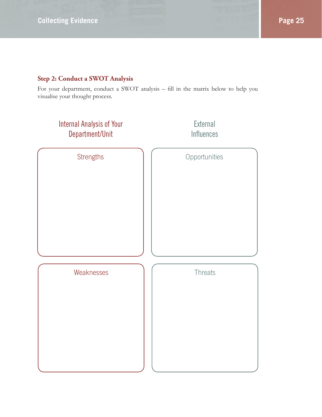For your department, conduct a SWOT analysis - fill in the matrix below to help you visualise your thought process.

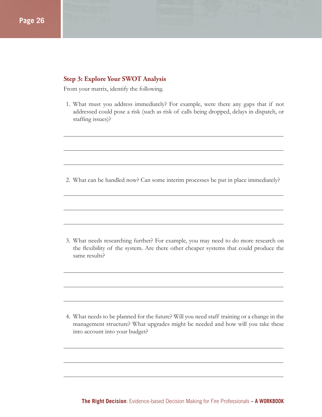#### **Step 3: Explore Your SWOT Analysis**

From your matrix, identify the following.

1. What must you address immediately? For example, were there any gaps that if not addressed could pose a risk (such as risk of calls being dropped, delays in dispatch, or staffing issues)?

2. What can be handled now? Can some interim processes be put in place immediately?

3. What needs researching further? For example, you may need to do more research on the flexibility of the system. Are there other cheaper systems that could produce the same results?

4. What needs to be planned for the future? Will you need staff training or a change in the management structure? What upgrades might be needed and how will you take these into account into your budget?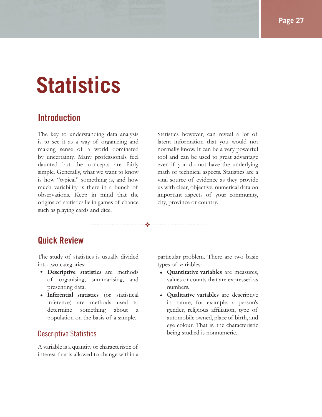# **Statistics**

### **Introduction**

The key to understanding data analysis is to see it as a way of organizing and making sense of a world dominated by uncertainty. Many professionals feel daunted but the concepts are fairly simple. Generally, what we want to know is how "typical" something is, and how much variability is there in a bunch of observations. Keep in mind that the origins of statistics lie in games of chance such as playing cards and dice.

Statistics however, can reveal a lot of latent information that you would not normally know. It can be a very powerful tool and can be used to great advantage even if you do not have the underlying math or technical aspects. Statistics are a vital source of evidence as they provide us with clear, objective, numerical data on important aspects of your community, city, province or country.

# **Quick Review**

The study of statistics is usually divided into two categories:

❖

- **Descriptive statistics** are methods of organising, summarising, and presenting data.
- **Inferential statistics** (or statistical inference) are methods used to determine something about a population on the basis of a sample.

#### Descriptive Statistics

A variable is a quantity or characteristic of interest that is allowed to change within a particular problem. There are two basic types of variables:

- **Quantitative variables** are measures, values or counts that are expressed as numbers.
- **Qualitative variables** are descriptive in nature, for example, a person's gender, religious affiliation, type of automobile owned, place of birth, and eye colour. That is, the characteristic being studied is nonnumeric.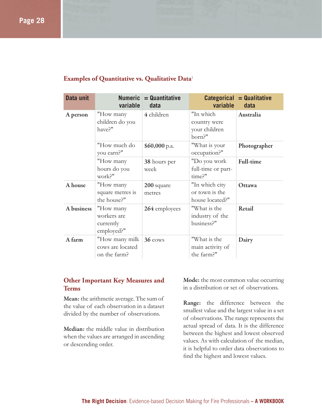| Data unit  | <b>Numeric</b><br>variable                          | $=$ Quantitative<br>data | variable                                             | $Categorical = Qualitative$<br>data |
|------------|-----------------------------------------------------|--------------------------|------------------------------------------------------|-------------------------------------|
| A person   | "How many<br>children do you<br>have?"              | 4 children               | "In which<br>country were<br>your children<br>born?" | Australia                           |
|            | "How much do<br>you earn?"                          | $$60,000$ p.a.           | "What is your<br>occupation?"                        | Photographer                        |
|            | "How many<br>hours do you<br>work?"                 | 38 hours per<br>week     | "Do you work<br>full-time or part-<br>time?"         | Full-time                           |
| A house    | "How many<br>square metres is<br>the house?"        | 200 square<br>metres     | "In which city<br>or town is the<br>house located?"  | Ottawa                              |
| A business | "How many<br>workers are<br>currently<br>employed?" | 264 employees            | "What is the<br>industry of the<br>business?"        | Retail                              |
| A farm     | "How many milk<br>cows are located<br>on the farm?  | $36 \cos$                | "What is the<br>main activity of<br>the farm?"       | Dairy                               |

#### **Examples of Quantitative vs. Qualitative Data**<sup>1</sup>

#### **Other Important Key Measures and Terms**

**Mean:** the arithmetic average. The sum of the value of each observation in a dataset divided by the number of observations.

**Median:** the middle value in distribution when the values are arranged in ascending or descending order.

**Mode:** the most common value occurring in a distribution or set of observations.

**Range:** the difference between the smallest value and the largest value in a set of observations. The range represents the actual spread of data. It is the difference between the highest and lowest observed values. As with calculation of the median, it is helpful to order data observations to find the highest and lowest values.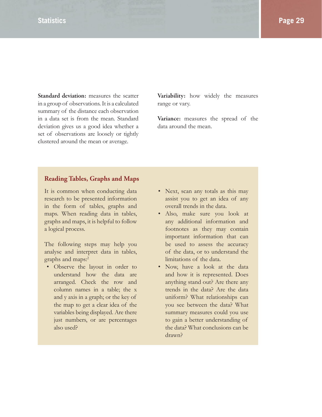**Standard deviation:** measures the scatter in a group of observations. It is a calculated summary of the distance each observation in a data set is from the mean. Standard deviation gives us a good idea whether a set of observations are loosely or tightly clustered around the mean or average.

**Variability:** how widely the measures range or vary.

**Variance:** measures the spread of the data around the mean.

#### **Reading Tables, Graphs and Maps**

It is common when conducting data research to be presented information in the form of tables, graphs and maps. When reading data in tables, graphs and maps, it is helpful to follow a logical process.

The following steps may help you analyse and interpret data in tables, graphs and maps:<sup>2</sup>

• Observe the layout in order to understand how the data are arranged. Check the row and column names in a table; the x and y axis in a graph; or the key of the map to get a clear idea of the variables being displayed. Are there just numbers, or are percentages also used?

- Next, scan any totals as this may assist you to get an idea of any overall trends in the data.
- Also, make sure you look at any additional information and footnotes as they may contain important information that can be used to assess the accuracy of the data, or to understand the limitations of the data.
- Now, have a look at the data and how it is represented. Does anything stand out? Are there any trends in the data? Are the data uniform? What relationships can you see between the data? What summary measures could you use to gain a better understanding of the data? What conclusions can be drawn?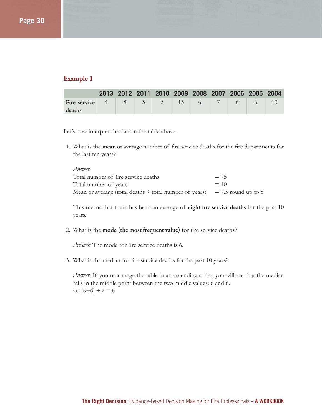#### **Example 1**

|                                           |  |  |  | 2013 2012 2011 2010 2009 2008 2007 2006 2005 2004 |  |
|-------------------------------------------|--|--|--|---------------------------------------------------|--|
| <b>Fire service</b> 4 8 5 5 15 6 7 6 6 15 |  |  |  |                                                   |  |
| deaths                                    |  |  |  |                                                   |  |

Let's now interpret the data in the table above.

1. What is the **mean or average** number of fire service deaths for the fire departments for the last ten years?

| Answer:                                                                         |        |
|---------------------------------------------------------------------------------|--------|
| Total number of fire service deaths                                             | $= 75$ |
| Total number of years                                                           | $= 10$ |
| Mean or average (total deaths $\div$ total number of years) = 7.5 round up to 8 |        |

This means that there has been an average of **eight fire service deaths** for the past 10 years.

2. What is the mode (the most frequent value) for fire service deaths?

*Answer:* The mode for fire service deaths is 6.

3. What is the median for fire service deaths for the past 10 years?

*Answer:* If you re-arrange the table in an ascending order, you will see that the median falls in the middle point between the two middle values: 6 and 6. i.e.  $[6+6] \div 2 = 6$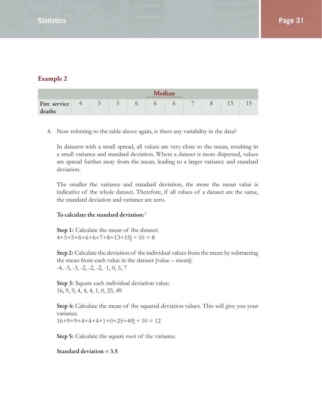#### **Example 2**

|              | <b>Median</b> |                                                 |                                     |  |  |  |                |  |  |                |
|--------------|---------------|-------------------------------------------------|-------------------------------------|--|--|--|----------------|--|--|----------------|
| Fire service |               | $\overline{ }$<br>$\overline{\phantom{a}}$<br>ັ | Γ.<br>$\overline{\phantom{a}}$<br>ັ |  |  |  | $\overline{ }$ |  |  | $\overline{1}$ |
| deaths       |               |                                                 |                                     |  |  |  |                |  |  |                |

4. Now referring to the table above again, is there any variability in the data?

In datasets with a small spread, all values are very close to the mean, resulting in a small variance and standard deviation. Where a dataset is more dispersed, values are spread further away from the mean, leading to a larger variance and standard deviation.

The smaller the variance and standard deviation, the more the mean value is indicative of the whole dataset. Therefore, if all values of a dataset are the same, the standard deviation and variance are zero.

#### **To calculate the standard deviation:**<sup>3</sup>

**Step 1:** Calculate the mean of the dataset:  $4+5+5+6+6+6+7+8+13+15$  ÷  $10 = 8$ 

**Step 2:** Calculate the deviation of the individual values from the mean by subtracting the mean from each value in the dataset [value – mean]:  $-4, -3, -3, -2, -2, -2, -1, 0, 5, 7$ 

**Step 3:** Square each individual deviation value: 16, 9, 9, 4, 4, 4, 1, 0, 25, 49

**Step 4:** Calculate the mean of the squared deviation values. This will give you your variance.  $16+9+9+4+4+4+1+0+25+49$  ÷  $10 = 12$ 

**Step 5:** Calculate the square root of the variance.

**Standard deviation = 3.5**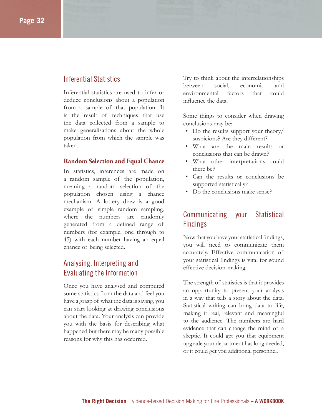#### Inferential Statistics

Inferential statistics are used to infer or deduce conclusions about a population from a sample of that population. It is the result of techniques that use the data collected from a sample to make generalisations about the whole population from which the sample was taken.

#### **Random Selection and Equal Chance**

In statistics, inferences are made on a random sample of the population, meaning a random selection of the population chosen using a chance mechanism. A lottery draw is a good example of simple random sampling, where the numbers are randomly generated from a defined range of numbers (for example, one through to 45) with each number having an equal chance of being selected.

#### Analysing, Interpreting and Evaluating the Information

Once you have analysed and computed some statistics from the data and feel you have a grasp of what the data is saying, you can start looking at drawing conclusions about the data. Your analysis can provide you with the basis for describing what happened but there may be many possible reasons for why this has occurred.

Try to think about the interrelationships between social, economic and environmental factors that could influence the data.

Some things to consider when drawing conclusions may be:

- Do the results support your theory/ suspicions? Are they different?
- What are the main results or conclusions that can be drawn?
- What other interpretations could there be?
- Can the results or conclusions be supported statistically?
- Do the conclusions make sense?

#### Communicating your Statistical Findings<sup>4</sup>

Now that you have your statistical findings, you will need to communicate them accurately. Effective communication of your statistical findings is vital for sound effective decision-making.

The strength of statistics is that it provides an opportunity to present your analysis in a way that tells a story about the data. Statistical writing can bring data to life, making it real, relevant and meaningful to the audience. The numbers are hard evidence that can change the mind of a skeptic. It could get you that equipment upgrade your department has long needed, or it could get you additional personnel.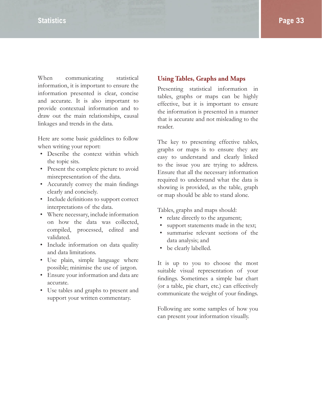When communicating statistical information, it is important to ensure the information presented is clear, concise and accurate. It is also important to provide contextual information and to draw out the main relationships, causal linkages and trends in the data.

Here are some basic guidelines to follow when writing your report:

- Describe the context within which the topic sits.
- Present the complete picture to avoid misrepresentation of the data.
- Accurately convey the main findings clearly and concisely.
- Include definitions to support correct interpretations of the data.
- Where necessary, include information on how the data was collected, compiled, processed, edited and validated.
- Include information on data quality and data limitations.
- Use plain, simple language where possible; minimise the use of jargon.
- Ensure your information and data are accurate.
- Use tables and graphs to present and support your written commentary.

#### **Using Tables, Graphs and Maps**

Presenting statistical information in tables, graphs or maps can be highly effective, but it is important to ensure the information is presented in a manner that is accurate and not misleading to the reader.

The key to presenting effective tables, graphs or maps is to ensure they are easy to understand and clearly linked to the issue you are trying to address. Ensure that all the necessary information required to understand what the data is showing is provided, as the table, graph or map should be able to stand alone.

Tables, graphs and maps should:

- relate directly to the argument;
- support statements made in the text;
- summarise relevant sections of the data analysis; and
- be clearly labelled.

It is up to you to choose the most suitable visual representation of your findings. Sometimes a simple bar chart (or a table, pie chart, etc.) can effectively communicate the weight of your findings.

Following are some samples of how you can present your information visually.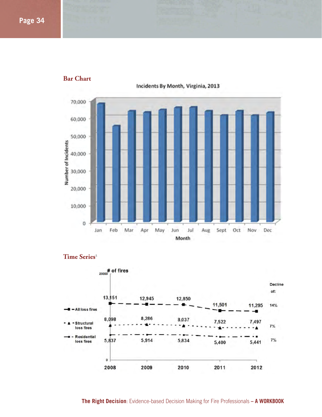

#### **Bar Chart**

Incidents By Month, Virginia, 2013



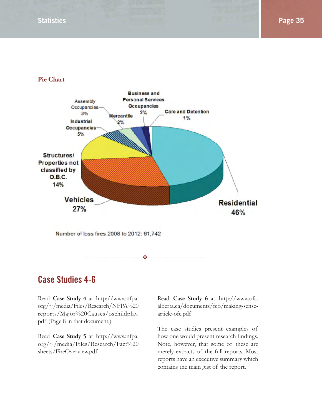#### **Pie Chart**



# **Case Studies 4-6**

Read **Case Study 4** at http://www.nfpa. org/~/media/Files/Research/NFPA%20 reports/Major%20Causes/oschildplay. pdf (Page 8 in that document.)

Read **Case Study 5** at http://www.nfpa. org/~/media/Files/Research/Fact%20 sheets/FireOverview.pdf

Read **Case Study 6** at http://www.ofc. alberta.ca/documents/fco/making-sensearticle-ofc.pdf

The case studies present examples of how one would present research findings. Note, however, that some of these are merely extracts of the full reports. Most reports have an executive summary which contains the main gist of the report.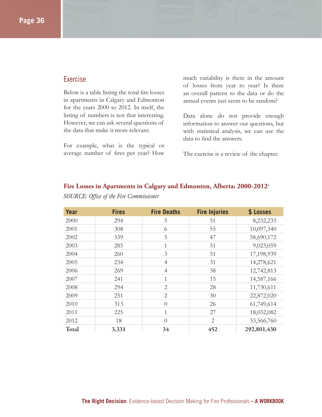#### **Exercise**

Below is a table listing the total fire losses in apartments in Calgary and Edmonton for the years 2000 to 2012. In itself, the listing of numbers is not that interesting. However, we can ask several questions of the data that make it more relevant.

For example, what is the typical or average number of fires per year? How

much variability is there in the amount of losses from year to year? Is there an overall pattern to the data or do the annual events just seem to be random?

Data alone do not provide enough information to answer our questions, but with statistical analysis, we can use the data to find the answers.

The exercise is a review of the chapter.

| Year  | <b>Fires</b> | <b>Fire Deaths</b> | <b>Fire Injuries</b> | \$ Losses   |
|-------|--------------|--------------------|----------------------|-------------|
| 2000  | 294          | 5                  | 51                   | 8,232,233   |
| 2001  | 308          | 6                  | 55                   | 10,097,340  |
| 2002  | 339          | 5                  | 47                   | 58,690,172  |
| 2003  | 285          | 1                  | 51                   | 9,023,059   |
| 2004  | 260          | 3                  | 51                   | 17,198,939  |
| 2005  | 234          | $\overline{4}$     | 31                   | 14,278,621  |
| 2006  | 269          | $\overline{4}$     | 38                   | 12,742,813  |
| 2007  | 241          | 1                  | 15                   | 14,587,166  |
| 2008  | 294          | $\overline{2}$     | 28                   | 11,730,611  |
| 2009  | 251          | $\overline{2}$     | 30                   | 22,872,020  |
| 2010  | 313          | $\bigcap$          | 26                   | 61,749,614  |
| 2011  | 225          | 1                  | 27                   | 18,032,082  |
| 2012  | 18           | $\theta$           | 2                    | 33,566,760  |
| Total | 3,331        | 34                 | 452                  | 292,801,430 |

#### **Fire Losses in Apartments in Calgary and Edmonton, Alberta: 2000-2012**<sup>6</sup>

*SOURCE: Office of the Fire Commissioner*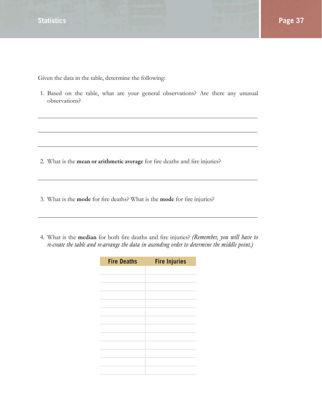Given the data in the table, determine the following:

1. Based on the table, what are your general observations? Are there any unusual observations?

- 2. What is the **mean or arithmetic average** for fire deaths and fire injuries?
- 3. What is the **mode** for fire deaths? What is the **mode** for fire injuries?
- 4. What is the **median** for both fire deaths and fire injuries? *(Remember, you will have to re-create the table and re-arrange the data in ascending order to determine the middle point.)*

| <b>Fire Deaths</b> | <b>Fire Injuries</b> |
|--------------------|----------------------|
|                    |                      |
|                    |                      |
|                    |                      |
|                    |                      |
|                    |                      |
|                    |                      |
|                    |                      |
|                    |                      |
|                    |                      |
|                    |                      |
|                    |                      |
|                    |                      |
|                    |                      |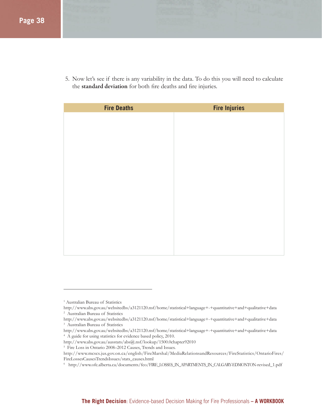5. Now let's see if there is any variability in the data. To do this you will need to calculate the standard deviation for both fire deaths and fire injuries.

| <b>Fire Deaths</b> | <b>Fire Injuries</b> |
|--------------------|----------------------|
|                    |                      |
|                    |                      |
|                    |                      |
|                    |                      |
|                    |                      |
|                    |                      |
|                    |                      |
|                    |                      |
|                    |                      |
|                    |                      |
|                    |                      |
|                    |                      |
|                    |                      |
|                    |                      |
|                    |                      |

- http://www.abs.gov.au/ausstats/abs@.nsf/lookup/1500.0chapter92010
- 5 Fire Loss in Ontario 2008–2012 Causes, Trends and Issues.

<sup>&</sup>lt;sup>1</sup> Australian Bureau of Statistics

http://www.abs.gov.au/websitedbs/a3121120.nsf/home/statistical+language+-+quantitative+and+qualitative+data 2 Australian Bureau of Statistics

http://www.abs.gov.au/websitedbs/a3121120.nsf/home/statistical+language+-+quantitative+and+qualitative+data 3 Australian Bureau of Statistics

http://www.abs.gov.au/websitedbs/a3121120.nsf/home/statistical+language+-+quantitative+and+qualitative+data 4 A guide for using statistics for evidence based policy, 2010.

http://www.mcscs.jus.gov.on.ca/english/FireMarshal/MediaRelationsandResources/FireStatistics/OntarioFires/ FireLossesCausesTrendsIssues/stats\_causes.html

<sup>6</sup> http://www.ofc.alberta.ca/documents/fco/FIRE\_LOSSES\_IN\_APARTMENTS\_IN\_CALGARY-EDMONTON-revised\_1.pdf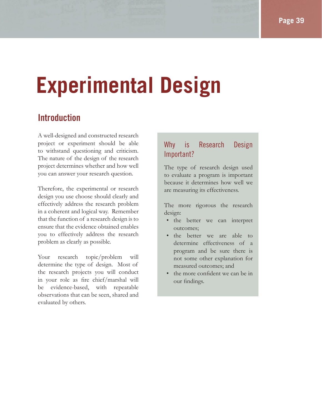# **Experimental Design**

# **Introduction**

A well-designed and constructed research project or experiment should be able to withstand questioning and criticism. The nature of the design of the research project determines whether and how well you can answer your research question.

Therefore, the experimental or research design you use choose should clearly and effectively address the research problem in a coherent and logical way. Remember that the function of a research design is to ensure that the evidence obtained enables you to effectively address the research problem as clearly as possible.

Your research topic/problem will determine the type of design. Most of the research projects you will conduct in your role as fire chief/marshal will be evidence-based, with repeatable observations that can be seen, shared and evaluated by others.

### Why is Research Design Important?

The type of research design used to evaluate a program is important because it determines how well we are measuring its effectiveness.

The more rigorous the research design:

- the better we can interpret outcomes;
- the better we are able to determine effectiveness of a program and be sure there is not some other explanation for measured outcomes; and
- the more confident we can be in our findings.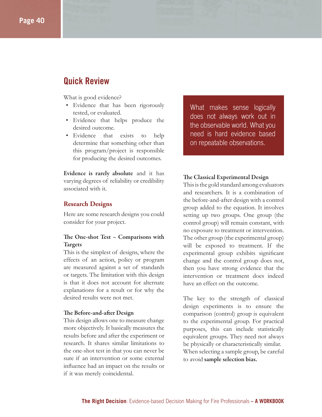### **Quick Review**

What is good evidence?

- Evidence that has been rigorously tested, or evaluated.
- Evidence that helps produce the desired outcome.
- Evidence that exists to help determine that something other than this program/project is responsible for producing the desired outcomes.

**Evidence is rarely absolute** and it has varying degrees of reliability or credibility associated with it.

#### **Research Designs**

Here are some research designs you could consider for your project.

#### The One-shot Test – Comparisons with **Targets**

This is the simplest of designs, where the effects of an action, policy or program are measured against a set of standards or targets. The limitation with this design is that it does not account for alternate explanations for a result or for why the desired results were not met.

#### **The Before-and-after Design**

This design allows one to measure change more objectively. It basically measures the results before and after the experiment or research. It shares similar limitations to the one-shot test in that you can never be sure if an intervention or some external influence had an impact on the results or if it was merely coincidental.

What makes sense logically does not always work out in the observable world. What you need is hard evidence based on repeatable observations.

#### **The Classical Experimental Design**

This is the gold standard among evaluators and researchers. It is a combination of the before-and-after design with a control group added to the equation. It involves setting up two groups. One group (the control group) will remain constant, with no exposure to treatment or intervention. The other group (the experimental group) will be exposed to treatment. If the experimental group exhibits significant change and the control group does not, then you have strong evidence that the intervention or treatment does indeed have an effect on the outcome.

The key to the strength of classical design experiments is to ensure the comparison (control) group is equivalent to the experimental group. For practical purposes, this can include statistically equivalent groups. They need not always be physically or characteristically similar. When selecting a sample group, be careful to avoid **sample selection bias.**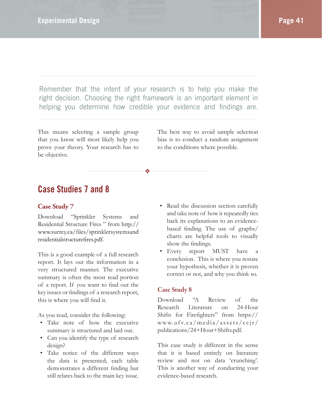Remember that the intent of your research is to help you make the right decision. Choosing the right framework is an important element in helping you determine how credible your evidence and findings are.

❖

This means selecting a sample group that you know will most likely help you prove your theory. Your research has to be objective.

The best way to avoid sample selection bias is to conduct a random assignment to the conditions where possible.

# **Case Studies 7 and 8**

#### **Case Study 7**

Download "Sprinkler Systems and Residential Structure Fires " from http:// www.surrey.ca/files/sprinklersystemsand residentialstructurefires.pdf.

This is a good example of a full research report. It lays out the information in a very structured manner. The executive summary is often the most read portion of a report. If you want to find out the key issues or findings of a research report, this is where you will find it.

As you read, consider the following:

- Take note of how the executive summary is structured and laid out.
- Can you identify the type of research design?
- Take notice of the different ways the data is presented; each table demonstrates a different finding but still relates back to the main key issue.
- Read the discussion section carefully and take note of how it repeatedly ties back its explanations to an evidencebased finding. The use of graphs/ charts are helpful tools to visually show the findings.
- Every report MUST have conclusion. This is where you restate your hypothesis, whether it is proven correct or not, and why you think so.

#### **Case Study 8**

Download "A Review of the Research Literature on 24-Hour Shifts for Firefighters" from https:// www.ufv.ca/media/assets/ccjr/ publications/24+Hour+Shifts.pdf.

This case study is different in the sense that it is based entirely on literature review and not on data 'crunching'. This is another way of conducting your evidence-based research.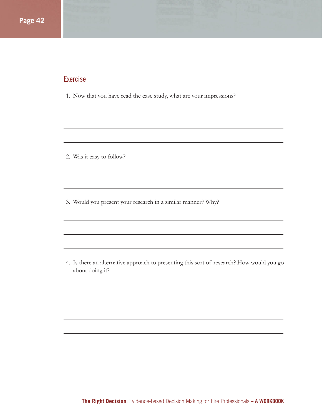#### Exercise

1. Now that you have read the case study, what are your impressions?

2. Was it easy to follow?

3. Would you present your research in a similar manner? Why?

4. Is there an alternative approach to presenting this sort of research? How would you go about doing it?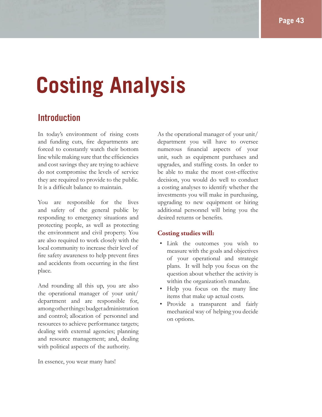# **Costing Analysis**

# **Introduction**

In today's environment of rising costs and funding cuts, fire departments are forced to constantly watch their bottom line while making sure that the efficiencies and cost savings they are trying to achieve do not compromise the levels of service they are required to provide to the public. It is a difficult balance to maintain.

You are responsible for the lives and safety of the general public by responding to emergency situations and protecting people, as well as protecting the environment and civil property. You are also required to work closely with the local community to increase their level of fire safety awareness to help prevent fires and accidents from occurring in the first place.

And rounding all this up, you are also the operational manager of your unit/ department and are responsible for, among other things: budget administration and control; allocation of personnel and resources to achieve performance targets; dealing with external agencies; planning and resource management; and, dealing with political aspects of the authority.

In essence, you wear many hats!

As the operational manager of your unit/ department you will have to oversee numerous financial aspects of your unit, such as equipment purchases and upgrades, and staffing costs. In order to be able to make the most cost-effective decision, you would do well to conduct a costing analyses to identify whether the investments you will make in purchasing, upgrading to new equipment or hiring additional personnel will bring you the desired returns or benefits.

#### **Costing studies will:**

- Link the outcomes you wish to measure with the goals and objectives of your operational and strategic plans. It will help you focus on the question about whether the activity is within the organization's mandate.
- Help you focus on the many line items that make up actual costs.
- Provide a transparent and fairly mechanical way of helping you decide on options.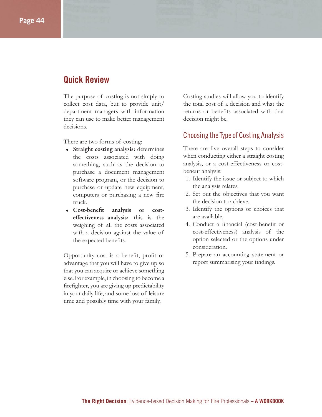# **Quick Review**

The purpose of costing is not simply to collect cost data, but to provide unit/ department managers with information they can use to make better management decisions.

There are two forms of costing:

- **Straight costing analysis:** determines the costs associated with doing something, such as the decision to purchase a document management software program, or the decision to purchase or update new equipment, computers or purchasing a new fire truck.
- Cost-benefit analysis or cost**eff ectiveness analysis:** this is the weighing of all the costs associated with a decision against the value of the expected benefits.

Opportunity cost is a benefit, profit or advantage that you will have to give up so that you can acquire or achieve something else. For example, in choosing to become a firefighter, you are giving up predictability in your daily life, and some loss of leisure time and possibly time with your family.

Costing studies will allow you to identify the total cost of a decision and what the returns or benefits associated with that decision might be.

#### Choosing the Type of Costing Analysis

There are five overall steps to consider when conducting either a straight costing analysis, or a cost-effectiveness or costbenefit analysis:

- 1. Identify the issue or subject to which the analysis relates.
- 2. Set out the objectives that you want the decision to achieve.
- 3. Identify the options or choices that are available.
- 4. Conduct a financial (cost-benefit or cost-effectiveness) analysis of the option selected or the options under consideration.
- 5. Prepare an accounting statement or report summarising your findings.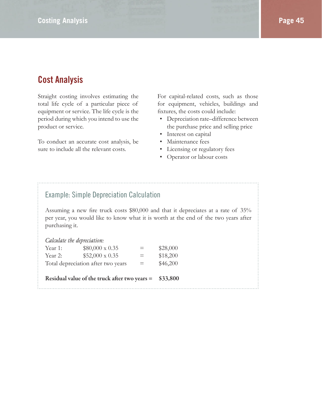# **Cost Analysis**

Straight costing involves estimating the total life cycle of a particular piece of equipment or service. The life cycle is the period during which you intend to use the product or service.

To conduct an accurate cost analysis, be sure to include all the relevant costs.

For capital-related costs, such as those for equipment, vehicles, buildings and fixtures, the costs could include:

- Depreciation rate–difference between the purchase price and selling price
- Interest on capital
- Maintenance fees
- Licensing or regulatory fees
- Operator or labour costs

#### Example: Simple Depreciation Calculation

Assuming a new fire truck costs \$80,000 and that it depreciates at a rate of 35% per year, you would like to know what it is worth at the end of the two years after purchasing it.

|  |  | Calculate the depreciation: |
|--|--|-----------------------------|
|--|--|-----------------------------|

| Year 1: | $$80,000 \times 0.35$              | $=$ | \$28,000 |
|---------|------------------------------------|-----|----------|
| Year 2: | $$52,000 \times 0.35$              | $=$ | \$18,200 |
|         | Total depreciation after two years | $=$ | \$46,200 |

**Residual value of the truck after two years = \$33,800**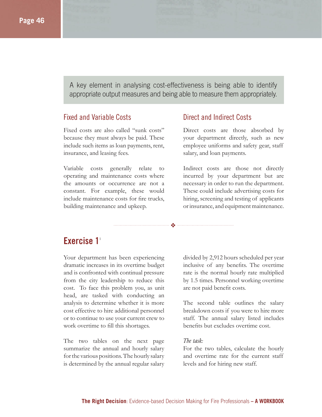A key element in analysing cost-effectiveness is being able to identify appropriate output measures and being able to measure them appropriately.

❖

#### Fixed and Variable Costs

Fixed costs are also called "sunk costs" because they must always be paid. These include such items as loan payments, rent, insurance, and leasing fees.

Variable costs generally relate to operating and maintenance costs where the amounts or occurrence are not a constant. For example, these would include maintenance costs for fire trucks, building maintenance and upkeep.

#### Direct and Indirect Costs

Direct costs are those absorbed by your department directly, such as new employee uniforms and safety gear, staff salary, and loan payments.

Indirect costs are those not directly incurred by your department but are necessary in order to run the department. These could include advertising costs for hiring, screening and testing of applicants or insurance, and equipment maintenance.

### **Exercise** 1<sup>1</sup>

Your department has been experiencing dramatic increases in its overtime budget and is confronted with continual pressure from the city leadership to reduce this cost. To face this problem you, as unit head, are tasked with conducting an analysis to determine whether it is more cost effective to hire additional personnel or to continue to use your current crew to work overtime to fill this shortages.

The two tables on the next page summarize the annual and hourly salary for the various positions. The hourly salary is determined by the annual regular salary divided by 2,912 hours scheduled per year inclusive of any benefits. The overtime rate is the normal hourly rate multiplied by 1.5 times. Personnel working overtime are not paid benefit costs.

The second table outlines the salary breakdown costs if you were to hire more staff. The annual salary listed includes benefits but excludes overtime cost.

#### *The task:*

For the two tables, calculate the hourly and overtime rate for the current staff levels and for hiring new staff.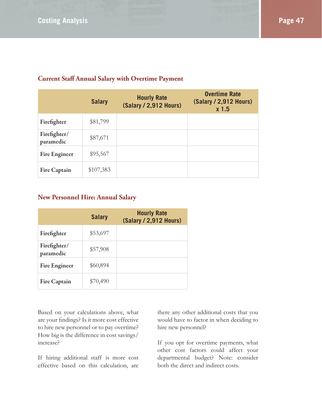|                           | <b>Salary</b> | <b>Hourly Rate</b><br>(Salary / 2,912 Hours) | <b>Overtime Rate</b><br>(Salary / 2,912 Hours)<br>x <sub>1.5</sub> |
|---------------------------|---------------|----------------------------------------------|--------------------------------------------------------------------|
| Firefighter               | \$81,799      |                                              |                                                                    |
| Firefighter/<br>paramedic | \$87,671      |                                              |                                                                    |
| <b>Fire Engineer</b>      | \$95,567      |                                              |                                                                    |
| <b>Fire Captain</b>       | \$107,383     |                                              |                                                                    |

#### **Current Staff Annual Salary with Overtime Payment**

#### **New Personnel Hire: Annual Salary**

|                           | <b>Salary</b> | <b>Hourly Rate</b><br>(Salary / 2,912 Hours) |
|---------------------------|---------------|----------------------------------------------|
| Firefighter               | \$53,697      |                                              |
| Firefighter/<br>paramedic | \$57,908      |                                              |
| <b>Fire Engineer</b>      | \$60,894      |                                              |
| <b>Fire Captain</b>       | \$70,490      |                                              |

Based on your calculations above, what are your findings? Is it more cost effective to hire new personnel or to pay overtime? How big is the difference in cost savings/ increase?

If hiring additional staff is more cost effective based on this calculation, are there any other additional costs that you would have to factor in when deciding to hire new personnel?

If you opt for overtime payments, what other cost factors could affect your departmental budget? Note: consider both the direct and indirect costs.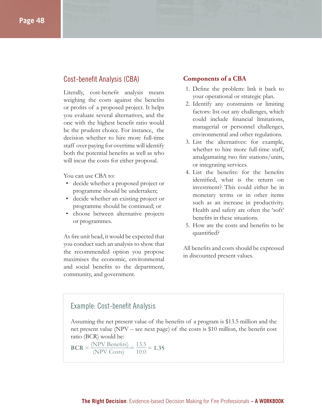#### Cost-benefit Analysis (CBA)

Literally, cost-benefit analysis means weighing the costs against the benefits or profits of a proposed project. It helps you evaluate several alternatives, and the one with the highest benefit ratio would be the prudent choice. For instance, the decision whether to hire more full-time staff over paying for overtime will identify both the potential benefits as well as who will incur the costs for either proposal.

You can use CBA to:

- decide whether a proposed project or programme should be undertaken;
- decide whether an existing project or programme should be continued; or
- choose between alternative projects or programmes.

As fire unit head, it would be expected that you conduct such an analysis to show that the recommended option you propose maximises the economic, environmental and social benefits to the department, community, and government.

#### **Components of a CBA**

- 1. Define the problem: link it back to your operational or strategic plan.
- 2. Identify any constraints or limiting factors: list out any challenges, which could include financial limitations, managerial or personnel challenges, environmental and other regulations.
- 3. List the alternatives: for example, whether to hire more full-time staff, amalgamating two fire stations/units, or integrating services.
- 4. List the benefits: for the benefits identified, what is the return on investment? This could either be in monetary terms or in other items such as an increase in productivity. Health and safety are often the 'soft' benefits in these situations.
- 5. How are the costs and benefits to be quantified?

All benefits and costs should be expressed in discounted present values.

#### Example: Cost-benefit Analysis

Assuming the net present value of the benefits of a program is \$13.5 million and the net present value ( $NPV -$  see next page) of the costs is \$10 million, the benefit cost ratio (BCR) would be:

$$
BCR = \frac{(NPV\text{ Benefits})}{(NPV\text{ Costs})} = \frac{13.5}{10.0} = 1.35
$$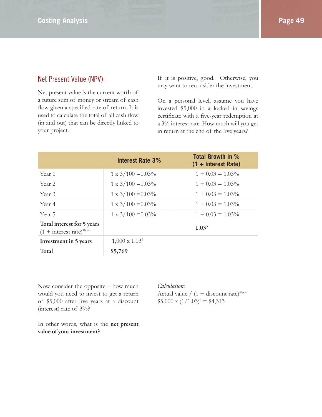#### Net Present Value (NPV)

Net present value is the current worth of a future sum of money or stream of cash flow given a specified rate of return. It is used to calculate the total of all cash flow (in and out) that can be directly linked to your project.

If it is positive, good. Otherwise, you may want to reconsider the investment.

On a personal level, assume you have invested \$5,000 in a locked–in savings certificate with a five-year redemption at a 3% interest rate. How much will you get in return at the end of the five years?

|                                                              | <b>Interest Rate 3%</b>   | <b>Total Growth in %</b><br>$(1 + Interest Rate)$ |
|--------------------------------------------------------------|---------------------------|---------------------------------------------------|
| Year 1                                                       | $1 \times 3/100 = 0.03\%$ | $1 + 0.03 = 1.03\%$                               |
| Year 2                                                       | $1 \times 3/100 = 0.03\%$ | $1 + 0.03 = 1.03\%$                               |
| Year 3                                                       | $1 \times 3/100 = 0.03\%$ | $1 + 0.03 = 1.03\%$                               |
| Year 4                                                       | $1 \times 3/100 = 0.03\%$ | $1 + 0.03 = 1.03\%$                               |
| Year 5                                                       | $1 \times 3/100 = 0.03\%$ | $1 + 0.03 = 1.03\%$                               |
| Total interest for 5 years<br>$(1 + interest rate)^{\#year}$ |                           | 1.03 <sup>5</sup>                                 |
| Investment in 5 years                                        | $1,000 \times 1.03^{5}$   |                                                   |
| Total                                                        | \$5,769                   |                                                   |

Now consider the opposite – how much would you need to invest to get a return of \$5,000 after five years at a discount (interest) rate of 3%?

*Calculation:*

Actual value /  $(1 + discount rate)^{\#year}$  $$5,000 \times (1/1.03)^5 = $4,313$ 

In other words, what is the **net present value of your investment**?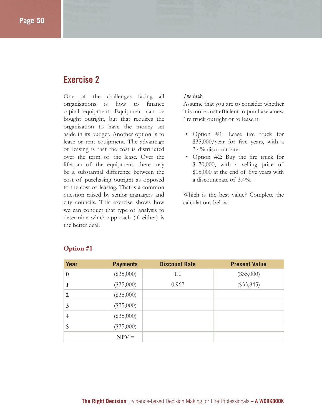# **Exercise 2**

One of the challenges facing all organizations is how to finance capital equipment. Equipment can be bought outright, but that requires the organization to have the money set aside in its budget. Another option is to lease or rent equipment. The advantage of leasing is that the cost is distributed over the term of the lease. Over the lifespan of the equipment, there may be a substantial difference between the cost of purchasing outright as opposed to the cost of leasing. That is a common question raised by senior managers and city councils. This exercise shows how we can conduct that type of analysis to determine which approach (if either) is the better deal.

#### *The task:*

Assume that you are to consider whether it is more cost efficient to purchase a new fire truck outright or to lease it.

- Option #1: Lease fire truck for  $$35,000/year$  for five years, with a 3.4% discount rate.
- Option  $#2$ : Buy the fire truck for \$170,000, with a selling price of  $$15,000$  at the end of five years with a discount rate of 3.4%.

Which is the best value? Complete the calculations below.

| <b>Year</b>             | <b>Payments</b> | <b>Discount Rate</b> | <b>Present Value</b> |
|-------------------------|-----------------|----------------------|----------------------|
| $\bf{0}$                | $(\$35,000)$    | 1.0                  | $(\$35,000)$         |
| 1                       | $(\$35,000)$    | 0.967                | $(\$33,845)$         |
| $\overline{2}$          | $(\$35,000)$    |                      |                      |
| 3                       | $(\$35,000)$    |                      |                      |
| $\overline{\mathbf{4}}$ | $(\$35,000)$    |                      |                      |
| 5                       | $(\$35,000)$    |                      |                      |
|                         | $NPV =$         |                      |                      |

#### **Option #1**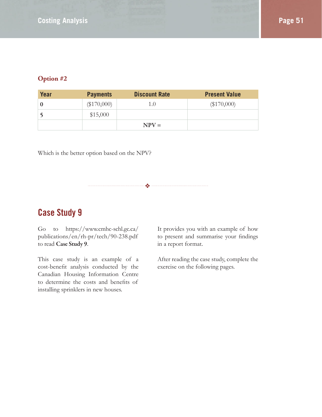#### **Option #2**

| Year     | <b>Payments</b> | <b>Discount Rate</b> | <b>Present Value</b> |
|----------|-----------------|----------------------|----------------------|
| $\Omega$ | $(\$170,000)$   | 1.0                  | $(\$170,000)$        |
|          | \$15,000        |                      |                      |
|          |                 | $NPV =$              |                      |

❖

Which is the better option based on the NPV?

# **Case Study 9**

Go to https://www.cmhc-schl.gc.ca/ publications/en/rh-pr/tech/90-238.pdf to read **Case Study 9**.

This case study is an example of a cost-benefit analysis conducted by the Canadian Housing Information Centre to determine the costs and benefits of installing sprinklers in new houses.

It provides you with an example of how to present and summarise your findings in a report format.

After reading the case study, complete the exercise on the following pages.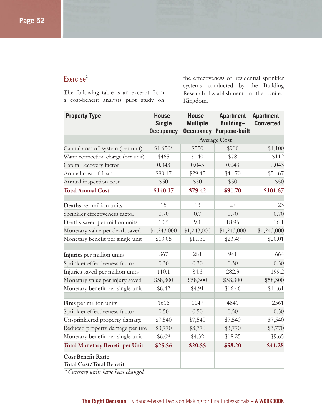#### Exercise<sup>2</sup>

The following table is an excerpt from a cost-benefit analysis pilot study on

the effectiveness of residential sprinkler systems conducted by the Building Research Establishment in the United Kingdom.

| <b>Property Type</b>                                         | House-<br><b>Single</b><br><b>Occupancy</b> | House-<br><b>Multiple</b> | <b>Apartment</b><br>Building-<br><b>Occupancy Purpose-built</b> | Apartment-<br><b>Converted</b> |
|--------------------------------------------------------------|---------------------------------------------|---------------------------|-----------------------------------------------------------------|--------------------------------|
|                                                              | <b>Average Cost</b>                         |                           |                                                                 |                                |
| Capital cost of system (per unit)                            | $$1,650*$                                   | \$550                     | \$900                                                           | \$1,100                        |
| Water connection charge (per unit)                           | \$465                                       | \$140                     | \$78                                                            | \$112                          |
| Capital recovery factor                                      | 0.043                                       | 0.043                     | 0.043                                                           | 0.043                          |
| Annual cost of loan                                          | \$90.17                                     | \$29.42                   | \$41.70                                                         | \$51.67                        |
| Annual inspection cost                                       | \$50                                        | \$50                      | \$50                                                            | \$50                           |
| <b>Total Annual Cost</b>                                     | \$140.17                                    | \$79.42                   | \$91.70                                                         | \$101.67                       |
|                                                              |                                             |                           |                                                                 |                                |
| Deaths per million units                                     | 15                                          | 13                        | 27                                                              | 23                             |
| Sprinkler effectiveness factor                               | 0.70                                        | 0.7                       | 0.70                                                            | 0.70                           |
| Deaths saved per million units                               | 10.5                                        | 9.1                       | 18.96                                                           | 16.1                           |
| Monetary value per death saved                               | \$1,243.000                                 | \$1,243,000               | \$1,243,000                                                     | \$1,243,000                    |
| Monetary benefit per single unit                             | \$13.05                                     | \$11.31                   | \$23.49                                                         | \$20.01                        |
|                                                              |                                             |                           |                                                                 |                                |
| Injuries per million units                                   | 367                                         | 281                       | 941                                                             | 664                            |
| Sprinkler effectiveness factor                               | 0.30                                        | 0.30                      | 0.30                                                            | 0.30                           |
| Injuries saved per million units                             | 110.1                                       | 84.3                      | 282.3                                                           | 199.2                          |
| Monetary value per injury saved                              | \$58,300                                    | \$58,300                  | \$58,300                                                        | \$58,300                       |
| Monetary benefit per single unit                             | \$6.42                                      | \$4.91                    | \$16.46                                                         | \$11.61                        |
|                                                              |                                             |                           |                                                                 |                                |
| Fires per million units                                      | 1616                                        | 1147                      | 4841                                                            | 2561                           |
| Sprinkler effectiveness factor                               | 0.50                                        | 0.50                      | 0.50                                                            | 0.50                           |
| Unsprinklered property damage                                | \$7,540                                     | \$7,540                   | \$7,540                                                         | \$7,540                        |
| Reduced property damage per fire                             | \$3,770                                     | \$3,770                   | \$3,770                                                         | \$3,770                        |
| Monetary benefit per single unit                             | \$6.09                                      | \$4.32                    | \$18.25                                                         | \$9.65                         |
| <b>Total Monetary Benefit per Unit</b>                       | \$25.56                                     | \$20.55                   | \$58.20                                                         | \$41.28                        |
| <b>Cost Benefit Ratio</b><br><b>Total Cost/Total Benefit</b> |                                             |                           |                                                                 |                                |

*\* Currency units have been changed*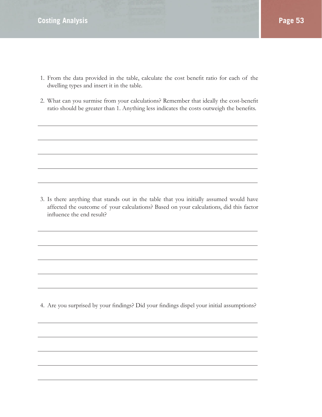- 1. From the data provided in the table, calculate the cost benefit ratio for each of the dwelling types and insert it in the table.
- 2. What can you surmise from your calculations? Remember that ideally the cost-benefit ratio should be greater than 1. Anything less indicates the costs outweigh the benefits.

3. Is there anything that stands out in the table that you initially assumed would have affected the outcome of your calculations? Based on your calculations, did this factor influence the end result?

4. Are you surprised by your findings? Did your findings dispel your initial assumptions?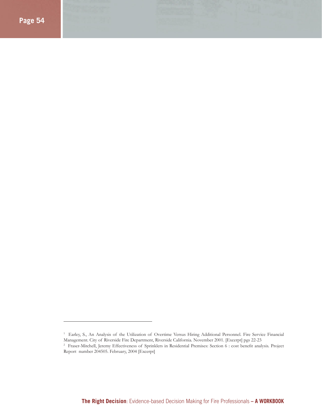<sup>&</sup>lt;sup>1</sup> Earley, S., An Analysis of the Utilization of Overtime Versus Hiring Additional Personnel. Fire Service Financial Management. City of Riverside Fire Department, Riverside California. November 2001. [Excerpt] pgs 22-23

<sup>2</sup> Fraser-Mitchell, Jeremy Effectiveness of Sprinklers in Residential Premises: Section 6 : cost benefi t analysis. Project Report number 204505. February, 2004 [Excerpt]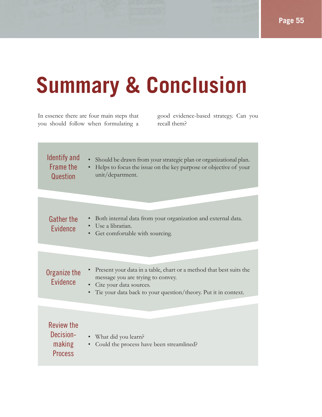# **Summary & Conclusion**

In essence there are four main steps that you should follow when formulating a

good evidence-based strategy. Can you recall them?

### Identify and Frame the **Question**

• Should be drawn from your strategic plan or organizational plan. • Helps to focus the issue on the key purpose or objective of your unit/department.

## Gather the Evidence

- Both internal data from your organization and external data.
- Use a librarian.
	- Get comfortable with sourcing.

#### • Present your data in a table, chart or a method that best suits the message you are trying to convey. • Cite your data sources. Organize the Evidence

• Tie your data back to your question/theory. Put it in context.

| Review the<br>Decision-<br>making<br><b>Process</b> | • What did you learn?<br>• Could the process have been streamlined? |
|-----------------------------------------------------|---------------------------------------------------------------------|
|-----------------------------------------------------|---------------------------------------------------------------------|